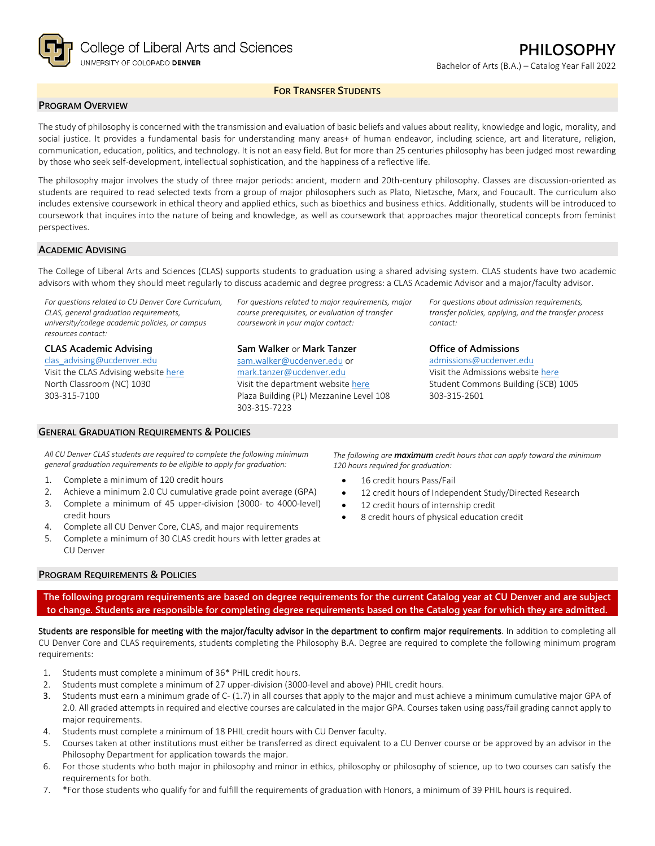

## **FOR TRANSFER STUDENTS**

#### **PROGRAM OVERVIEW**

The study of philosophy is concerned with the transmission and evaluation of basic beliefs and values about reality, knowledge and logic, morality, and social justice. It provides a fundamental basis for understanding many areas+ of human endeavor, including science, art and literature, religion, communication, education, politics, and technology. It is not an easy field. But for more than 25 centuries philosophy has been judged most rewarding by those who seek self-development, intellectual sophistication, and the happiness of a reflective life.

The philosophy major involves the study of three major periods: ancient, modern and 20th-century philosophy. Classes are discussion-oriented as students are required to read selected texts from a group of major philosophers such as Plato, Nietzsche, Marx, and Foucault. The curriculum also includes extensive coursework in ethical theory and applied ethics, such as bioethics and business ethics. Additionally, students will be introduced to coursework that inquires into the nature of being and knowledge, as well as coursework that approaches major theoretical concepts from feminist perspectives.

### **ACADEMIC ADVISING**

The College of Liberal Arts and Sciences (CLAS) supports students to graduation using a shared advising system. CLAS students have two academic advisors with whom they should meet regularly to discuss academic and degree progress: a CLAS Academic Advisor and a major/faculty advisor.

*For questions related to CU Denver Core Curriculum, CLAS, general graduation requirements, university/college academic policies, or campus resources contact:*

**CLAS Academic Advising** [clas\\_advising@ucdenver.edu](mailto:clas_advising@ucdenver.edu) Visit the CLAS Advising websit[e here](https://clas.ucdenver.edu/advising/) North Classroom (NC) 1030 303-315-7100

*course prerequisites, or evaluation of transfer coursework in your major contact:*

*For questions related to major requirements, major* 

**Sam Walker** or **Mark Tanzer** [sam.walker@ucdenver.edu](mailto:sam.walker@ucdenver.edu) or [mark.tanzer@ucdenver.edu](mailto:mark.tanzer@ucdenver.edu) Visit the department website [here](https://clas.ucdenver.edu/philosophy/) Plaza Building (PL) Mezzanine Level 108 303-315-7223

*For questions about admission requirements, transfer policies, applying, and the transfer process contact:*

**Office of Admissions** [admissions@ucdenver.edu](mailto:admissions@ucdenver.edu)

Visit the Admissions website [here](http://www.ucdenver.edu/admissions/Pages/index.aspx) Student Commons Building (SCB) 1005 303-315-2601

*All CU Denver CLAS students are required to complete the following minimum general graduation requirements to be eligible to apply for graduation:*

1. Complete a minimum of 120 credit hours

**GENERAL GRADUATION REQUIREMENTS & POLICIES**

- 2. Achieve a minimum 2.0 CU cumulative grade point average (GPA)
- 3. Complete a minimum of 45 upper-division (3000- to 4000-level) credit hours
- 4. Complete all CU Denver Core, CLAS, and major requirements
- 5. Complete a minimum of 30 CLAS credit hours with letter grades at CU Denver

**PROGRAM REQUIREMENTS & POLICIES**

*The following are maximum credit hours that can apply toward the minimum 120 hours required for graduation:*

- 16 credit hours Pass/Fail
- 12 credit hours of Independent Study/Directed Research
- 12 credit hours of internship credit
- 8 credit hours of physical education credit

**The following program requirements are based on degree requirements for the current Catalog year at CU Denver and are subject to change. Students are responsible for completing degree requirements based on the Catalog year for which they are admitted.**

Students are responsible for meeting with the major/faculty advisor in the department to confirm major requirements. In addition to completing all CU Denver Core and CLAS requirements, students completing the Philosophy B.A. Degree are required to complete the following minimum program requirements:

- 1. Students must complete a minimum of 36\* PHIL credit hours.
- 2. Students must complete a minimum of 27 upper-division (3000-level and above) PHIL credit hours.
- 3. Students must earn a minimum grade of C- (1.7) in all courses that apply to the major and must achieve a minimum cumulative major GPA of 2.0. All graded attempts in required and elective courses are calculated in the major GPA. Courses taken using pass/fail grading cannot apply to major requirements.
- 4. Students must complete a minimum of 18 PHIL credit hours with CU Denver faculty.
- 5. Courses taken at other institutions must either be transferred as direct equivalent to a CU Denver course or be approved by an advisor in the Philosophy Department for application towards the major.
- 6. For those students who both major in philosophy and minor in ethics, philosophy or philosophy of science, up to two courses can satisfy the requirements for both.
- 7. \*For those students who qualify for and fulfill the requirements of graduation with Honors, a minimum of 39 PHIL hours is required.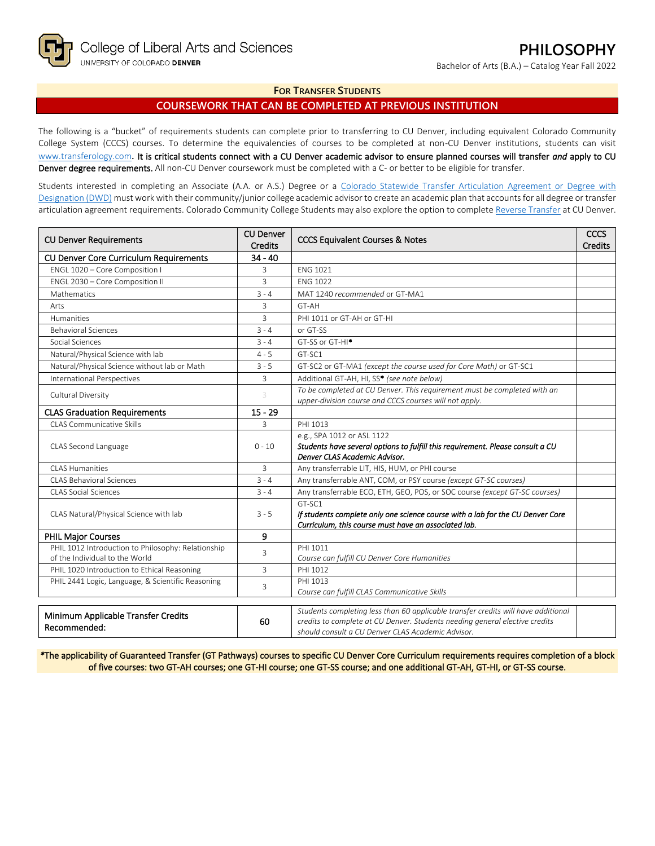Bachelor of Arts (B.A.) – Catalog Year Fall 2022

### **FOR TRANSFER STUDENTS**

# **COURSEWORK THAT CAN BE COMPLETED AT PREVIOUS INSTITUTION**

The following is a "bucket" of requirements students can complete prior to transferring to CU Denver, including equivalent Colorado Community College System (CCCS) courses. To determine the equivalencies of courses to be completed at non-CU Denver institutions, students can visit [www.transferology.com](http://www.transferology.com/)**.** It is critical students connect with a CU Denver academic advisor to ensure planned courses will transfer *and* apply to CU Denver degree requirements. All non-CU Denver coursework must be completed with a C- or better to be eligible for transfer.

Students interested in completing an Associate (A.A. or A.S.) Degree or a Colorado Statewide Transfer Articulation Agreement or Degree with [Designation \(DWD\)](https://highered.colorado.gov/transfer-degrees) must work with their community/junior college academic advisor to create an academic plan that accounts for all degree or transfer articulation agreement requirements. Colorado Community College Students may also explore the option to complet[e Reverse Transfer](https://highered.colorado.gov/students/attending-college/colorado-reverse-transfer) at CU Denver.

| <b>CU Denver Requirements</b>                                                        | <b>CU Denver</b><br><b>Credits</b> | <b>CCCS Equivalent Courses &amp; Notes</b>                                                                                                                                                                            | <b>CCCS</b><br><b>Credits</b> |
|--------------------------------------------------------------------------------------|------------------------------------|-----------------------------------------------------------------------------------------------------------------------------------------------------------------------------------------------------------------------|-------------------------------|
| <b>CU Denver Core Curriculum Requirements</b>                                        | $34 - 40$                          |                                                                                                                                                                                                                       |                               |
| ENGL 1020 - Core Composition I                                                       | 3                                  | <b>ENG 1021</b>                                                                                                                                                                                                       |                               |
| ENGL 2030 - Core Composition II                                                      | 3                                  | <b>FNG 1022</b>                                                                                                                                                                                                       |                               |
| Mathematics                                                                          | $3 - 4$                            | MAT 1240 recommended or GT-MA1                                                                                                                                                                                        |                               |
| Arts                                                                                 | 3                                  | GT-AH                                                                                                                                                                                                                 |                               |
| Humanities                                                                           | $\overline{3}$                     | PHI 1011 or GT-AH or GT-HI                                                                                                                                                                                            |                               |
| <b>Behavioral Sciences</b>                                                           | $3 - 4$                            | or GT-SS                                                                                                                                                                                                              |                               |
| Social Sciences                                                                      | $3 - 4$                            | GT-SS or GT-HI <sup>*</sup>                                                                                                                                                                                           |                               |
| Natural/Physical Science with lab                                                    | $4 - 5$                            | GT-SC1                                                                                                                                                                                                                |                               |
| Natural/Physical Science without lab or Math                                         | $3 - 5$                            | GT-SC2 or GT-MA1 (except the course used for Core Math) or GT-SC1                                                                                                                                                     |                               |
| <b>International Perspectives</b>                                                    | $\overline{3}$                     | Additional GT-AH, HI, SS* (see note below)                                                                                                                                                                            |                               |
| Cultural Diversity                                                                   | 3                                  | To be completed at CU Denver. This requirement must be completed with an<br>upper-division course and CCCS courses will not apply.                                                                                    |                               |
| <b>CLAS Graduation Requirements</b>                                                  | $15 - 29$                          |                                                                                                                                                                                                                       |                               |
| <b>CLAS Communicative Skills</b>                                                     | 3                                  | PHI 1013                                                                                                                                                                                                              |                               |
| CLAS Second Language                                                                 | $0 - 10$                           | e.g., SPA 1012 or ASL 1122<br>Students have several options to fulfill this requirement. Please consult a CU<br>Denver CLAS Academic Advisor.                                                                         |                               |
| <b>CLAS Humanities</b>                                                               | 3                                  | Any transferrable LIT, HIS, HUM, or PHI course                                                                                                                                                                        |                               |
| CLAS Behavioral Sciences                                                             | $3 - 4$                            | Any transferrable ANT, COM, or PSY course (except GT-SC courses)                                                                                                                                                      |                               |
| <b>CLAS Social Sciences</b>                                                          | $3 - 4$                            | Any transferrable ECO, ETH, GEO, POS, or SOC course (except GT-SC courses)                                                                                                                                            |                               |
| CLAS Natural/Physical Science with lab                                               | $3 - 5$                            | GT-SC1<br>If students complete only one science course with a lab for the CU Denver Core<br>Curriculum, this course must have an associated lab.                                                                      |                               |
| PHIL Major Courses                                                                   | 9                                  |                                                                                                                                                                                                                       |                               |
| PHIL 1012 Introduction to Philosophy: Relationship<br>of the Individual to the World | 3                                  | PHI 1011<br>Course can fulfill CU Denver Core Humanities                                                                                                                                                              |                               |
| PHIL 1020 Introduction to Ethical Reasoning                                          | 3                                  | PHI 1012                                                                                                                                                                                                              |                               |
| PHIL 2441 Logic, Language, & Scientific Reasoning                                    | 3                                  | PHI 1013<br>Course can fulfill CLAS Communicative Skills                                                                                                                                                              |                               |
| Minimum Applicable Transfer Credits<br>Recommended:                                  | 60                                 | Students completing less than 60 applicable transfer credits will have additional<br>credits to complete at CU Denver. Students needing general elective credits<br>should consult a CU Denver CLAS Academic Advisor. |                               |

*\**The applicability of Guaranteed Transfer (GT Pathways) courses to specific CU Denver Core Curriculum requirements requires completion of a block of five courses: two GT-AH courses; one GT-HI course; one GT-SS course; and one additional GT-AH, GT-HI, or GT-SS course.